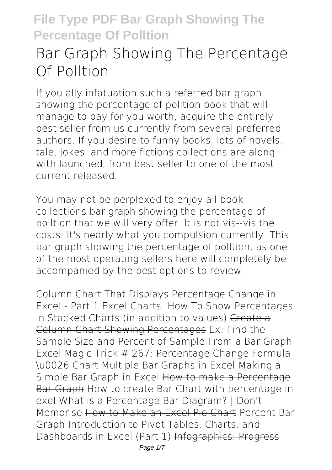# **Bar Graph Showing The Percentage Of Polltion**

If you ally infatuation such a referred **bar graph showing the percentage of polltion** book that will manage to pay for you worth, acquire the entirely best seller from us currently from several preferred authors. If you desire to funny books, lots of novels, tale, jokes, and more fictions collections are along with launched, from best seller to one of the most current released.

You may not be perplexed to enjoy all book collections bar graph showing the percentage of polltion that we will very offer. It is not vis--vis the costs. It's nearly what you compulsion currently. This bar graph showing the percentage of polltion, as one of the most operating sellers here will completely be accompanied by the best options to review.

*Column Chart That Displays Percentage Change in Excel - Part 1 Excel Charts: How To Show Percentages in Stacked Charts (in addition to values)* Create a Column Chart Showing Percentages *Ex: Find the Sample Size and Percent of Sample From a Bar Graph Excel Magic Trick # 267: Percentage Change Formula \u0026 Chart Multiple Bar Graphs in Excel Making a Simple Bar Graph in Excel* How to make a Percentage Bar Graph *How to create Bar Chart with percentage in exel What is a Percentage Bar Diagram? | Don't Memorise* How to Make an Excel Pie Chart Percent Bar Graph Introduction to Pivot Tables, Charts, and Dashboards in Excel (Part 1) Infographics: Progress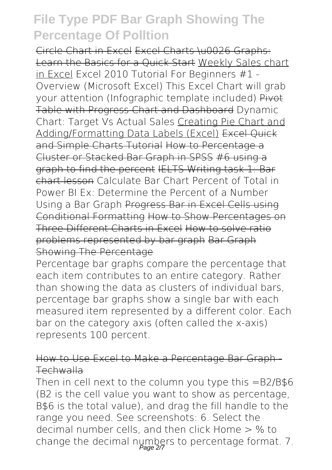Circle Chart in Excel Excel Charts \u0026 Graphs: Learn the Basics for a Quick Start Weekly Sales chart in Excel Excel 2010 Tutorial For Beginners #1 - Overview (Microsoft Excel) This Excel Chart will grab your attention (Infographic template included) Pivot Table with Progress Chart and Dashboard **Dynamic Chart: Target Vs Actual Sales** Creating Pie Chart and Adding/Formatting Data Labels (Excel) Excel Quick and Simple Charts Tutorial How to Percentage a Cluster or Stacked Bar Graph in SPSS #6 using a graph to find the percent IELTS Writing task 1: Bar chart lesson **Calculate Bar Chart Percent of Total in Power BI** *Ex: Determine the Percent of a Number Using a Bar Graph* Progress Bar in Excel Cells using Conditional Formatting How to Show Percentages on Three Different Charts in Excel How to solve ratio problems represented by bar graph Bar Graph Showing The Percentage

Percentage bar graphs compare the percentage that each item contributes to an entire category. Rather than showing the data as clusters of individual bars, percentage bar graphs show a single bar with each measured item represented by a different color. Each bar on the category axis (often called the x-axis) represents 100 percent.

#### How to Use Excel to Make a Percentage Bar Graph - Techwalla

Then in cell next to the column you type this  $=$ B2/B\$6 (B2 is the cell value you want to show as percentage, B\$6 is the total value), and drag the fill handle to the range you need. See screenshots: 6. Select the decimal number cells, and then click Home > % to change the decimal numbers to percentage format. 7.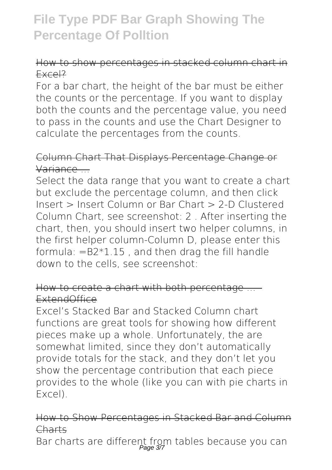#### How to show percentages in stacked column chart in Excel?

For a bar chart, the height of the bar must be either the counts or the percentage. If you want to display both the counts and the percentage value, you need to pass in the counts and use the Chart Designer to calculate the percentages from the counts.

#### Column Chart That Displays Percentage Change or Variance ...

Select the data range that you want to create a chart but exclude the percentage column, and then click Insert > Insert Column or Bar Chart > 2-D Clustered Column Chart, see screenshot: 2 . After inserting the chart, then, you should insert two helper columns, in the first helper column-Column D, please enter this formula:  $=$ B2 $*$ 1.15 , and then drag the fill handle down to the cells, see screenshot:

#### How to create a chart with both percentage ExtendOffice

Excel's Stacked Bar and Stacked Column chart functions are great tools for showing how different pieces make up a whole. Unfortunately, the are somewhat limited, since they don't automatically provide totals for the stack, and they don't let you show the percentage contribution that each piece provides to the whole (like you can with pie charts in Excel).

#### How to Show Percentages in Stacked Bar and Column Charts

Bar charts are different from tables because you can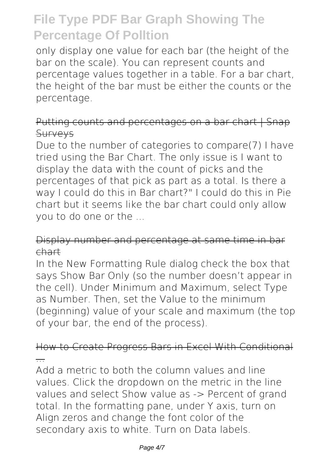only display one value for each bar (the height of the bar on the scale). You can represent counts and percentage values together in a table. For a bar chart, the height of the bar must be either the counts or the percentage.

#### Putting counts and percentages on a bar chart | Snap **Survevs**

Due to the number of categories to compare(7) I have tried using the Bar Chart. The only issue is I want to display the data with the count of picks and the percentages of that pick as part as a total. Is there a way I could do this in Bar chart?" I could do this in Pie chart but it seems like the bar chart could only allow you to do one or the ...

#### Display number and percentage at same time in bar chart

In the New Formatting Rule dialog check the box that says Show Bar Only (so the number doesn't appear in the cell). Under Minimum and Maximum, select Type as Number. Then, set the Value to the minimum (beginning) value of your scale and maximum (the top of your bar, the end of the process).

#### How to Create Progress Bars in Excel With Conditional ...

Add a metric to both the column values and line values. Click the dropdown on the metric in the line values and select Show value as -> Percent of grand total. In the formatting pane, under Y axis, turn on Align zeros and change the font color of the secondary axis to white. Turn on Data labels.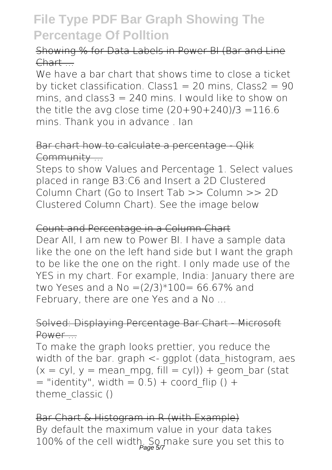#### Showing % for Data Labels in Power BI (Bar and Line Chart ...

We have a bar chart that shows time to close a ticket by ticket classification. Class1 = 20 mins, Class2 =  $90$ mins, and class $3 = 240$  mins. I would like to show on the title the avg close time  $(20+90+240)/3 = 116.6$ mins. Thank you in advance . Ian

#### Bar chart how to calculate a percentage - Qlik Community ...

Steps to show Values and Percentage 1. Select values placed in range B3:C6 and Insert a 2D Clustered Column Chart (Go to Insert Tab >> Column >> 2D Clustered Column Chart). See the image below

#### Count and Percentage in a Column Chart

Dear All, I am new to Power BI. I have a sample data like the one on the left hand side but I want the graph to be like the one on the right. I only made use of the YES in my chart. For example, India: January there are two Yeses and a No = $(2/3)*100= 66.67%$  and February, there are one Yes and a No...

#### Solved: Displaying Percentage Bar Chart - Microsoft Power ...

To make the graph looks prettier, you reduce the width of the bar, graph  $\lt$ - gaplot (data histogram, aes  $(x = cv)$ ,  $y = mean$  mpg, fill  $= cv$ )) + geom bar (stat  $=$  "identity", width  $= 0.5$ ) + coord flip () + theme\_classic()

Bar Chart & Histogram in R (with Example) By default the maximum value in your data takes 100% of the cell width. So make sure you set this to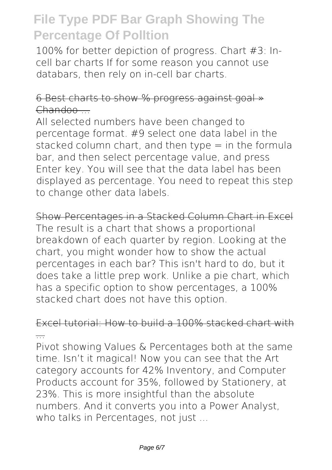100% for better depiction of progress. Chart #3: Incell bar charts If for some reason you cannot use databars, then rely on in-cell bar charts.

#### 6 Best charts to show % progress against goal » Chandoo ...

All selected numbers have been changed to percentage format. #9 select one data label in the stacked column chart, and then type  $=$  in the formula bar, and then select percentage value, and press Enter key. You will see that the data label has been displayed as percentage. You need to repeat this step to change other data labels.

Show Percentages in a Stacked Column Chart in Excel The result is a chart that shows a proportional breakdown of each quarter by region. Looking at the chart, you might wonder how to show the actual percentages in each bar? This isn't hard to do, but it does take a little prep work. Unlike a pie chart, which has a specific option to show percentages, a 100% stacked chart does not have this option.

#### Excel tutorial: How to build a 100% stacked chart with ...

Pivot showing Values & Percentages both at the same time. Isn't it magical! Now you can see that the Art category accounts for 42% Inventory, and Computer Products account for 35%, followed by Stationery, at 23%. This is more insightful than the absolute numbers. And it converts you into a Power Analyst, who talks in Percentages, not just ...